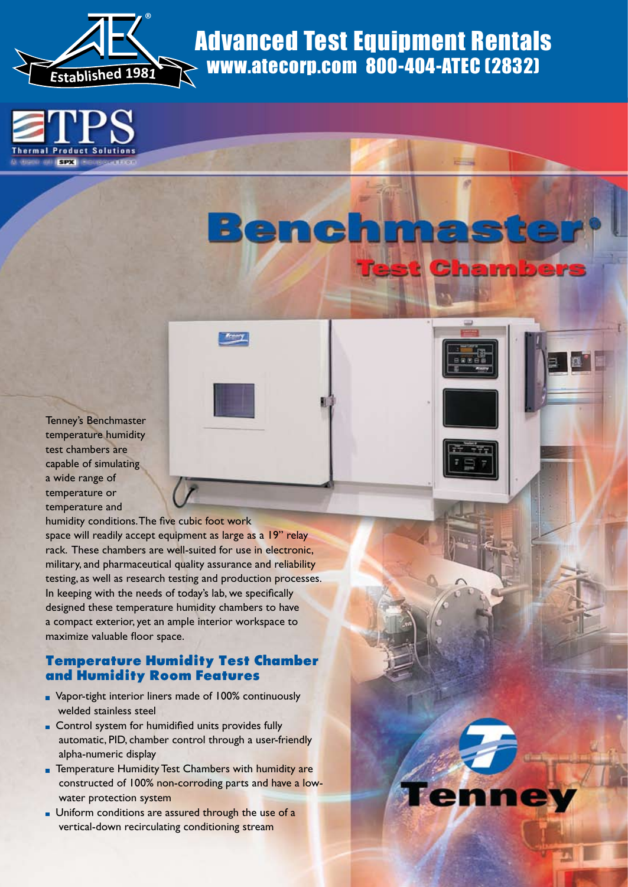





Tenney's Benchmaster temperature humidity test chambers are capable of simulating a wide range of temperature or temperature and

humidity conditions. The five cubic foot work space will readily accept equipment as large as a 19" relay rack. These chambers are well-suited for use in electronic, military, and pharmaceutical quality assurance and reliability testing, as well as research testing and production processes. In keeping with the needs of today's lab, we specifically designed these temperature humidity chambers to have a compact exterior, yet an ample interior workspace to maximize valuable floor space. vertical-down recirculating conditioning conditioning condition in the condition of the condition of the condition of the condition of the condition of the condition of the condition of the condition of the condition of th

### **Temperature Humidity Test Chamber and Humidity Room Features**

- Vapor-tight interior liners made of 100% continuously welded stainless steel
- **Control system for humidified units provides fully**  automatic, PID, chamber control through a user-friendly alpha-numeric display
- **Temperature Humidity Test Chambers with humidity are**  constructed of 100% non-corroding parts and have a low water protection system
- **Uniform conditions are assured through the use of a**